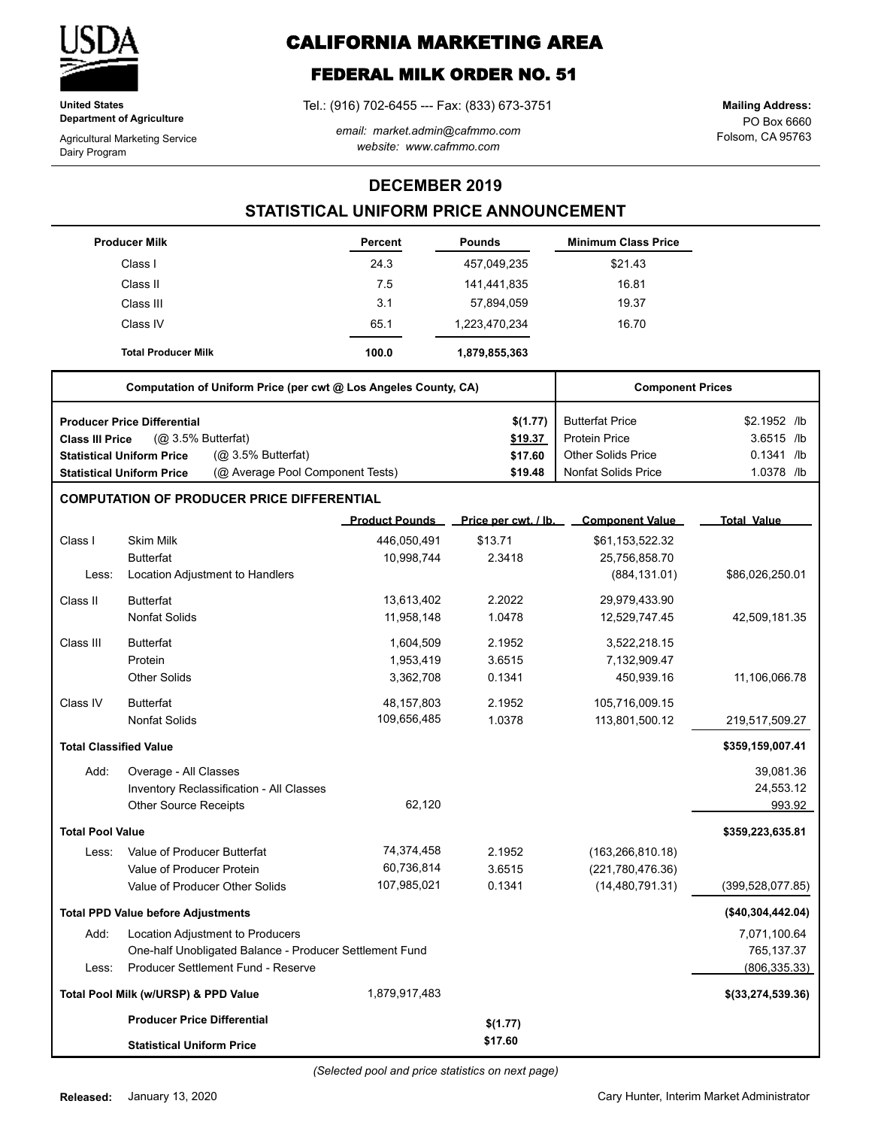

**United States Department of Agriculture**

Agricultural Marketing Service Dairy Program

# **CALIFORNIA MARKETING AREA**

## **FEDERAL MILK ORDER NO. 51**

Tel.: (916) 702-6455 --- Fax: (833) 673-3751

*email: market.admin@cafmmo.com website: www.cafmmo.com*

PO Box 6660 Folsom, CA 95763 **Mailing Address:**

### **DECEMBER 2019**

### **STATISTICAL UNIFORM PRICE ANNOUNCEMENT**

|                                                   | <b>Producer Milk</b>                      |                                                                 | Percent               | <b>Pounds</b>        | <b>Minimum Class Price</b> |                    |
|---------------------------------------------------|-------------------------------------------|-----------------------------------------------------------------|-----------------------|----------------------|----------------------------|--------------------|
|                                                   | Class I                                   |                                                                 | 24.3                  | 457,049,235          | \$21.43                    |                    |
|                                                   | Class II                                  |                                                                 | 7.5                   | 141,441,835          | 16.81                      |                    |
|                                                   | Class III                                 |                                                                 | 3.1                   | 57,894,059           | 19.37                      |                    |
|                                                   | Class IV                                  |                                                                 | 65.1                  | 1,223,470,234        | 16.70                      |                    |
|                                                   | <b>Total Producer Milk</b>                |                                                                 | 100.0                 | 1,879,855,363        |                            |                    |
|                                                   |                                           | Computation of Uniform Price (per cwt @ Los Angeles County, CA) |                       |                      | <b>Component Prices</b>    |                    |
|                                                   | <b>Producer Price Differential</b>        |                                                                 |                       | \$(1.77)             | <b>Butterfat Price</b>     | \$2.1952 /lb       |
| <b>Class III Price</b>                            | (Q <sub>2</sub> 3.5% Butterfat)           |                                                                 |                       | \$19.37              | <b>Protein Price</b>       | 3.6515 /lb         |
|                                                   | <b>Statistical Uniform Price</b>          | (@ 3.5% Butterfat)                                              |                       | \$17.60              | <b>Other Solids Price</b>  | $0.1341$ /lb       |
|                                                   | <b>Statistical Uniform Price</b>          | (@ Average Pool Component Tests)                                |                       | \$19.48              | <b>Nonfat Solids Price</b> | 1.0378 /lb         |
| <b>COMPUTATION OF PRODUCER PRICE DIFFERENTIAL</b> |                                           |                                                                 |                       |                      |                            |                    |
|                                                   |                                           |                                                                 | <b>Product Pounds</b> | Price per cwt. / lb. | <b>Component Value</b>     | <b>Total Value</b> |
| Class I                                           | <b>Skim Milk</b>                          |                                                                 | 446,050,491           | \$13.71              | \$61,153,522.32            |                    |
|                                                   | <b>Butterfat</b>                          |                                                                 | 10,998,744            | 2.3418               | 25,756,858.70              |                    |
| Less:                                             | Location Adjustment to Handlers           |                                                                 |                       |                      | (884, 131.01)              | \$86,026,250.01    |
| Class II                                          | <b>Butterfat</b>                          |                                                                 | 13,613,402            | 2.2022               | 29,979,433.90              |                    |
|                                                   | <b>Nonfat Solids</b>                      |                                                                 | 11,958,148            | 1.0478               | 12,529,747.45              | 42,509,181.35      |
| Class III                                         | <b>Butterfat</b>                          |                                                                 | 1,604,509             | 2.1952               | 3,522,218.15               |                    |
|                                                   | Protein                                   |                                                                 | 1,953,419             | 3.6515               | 7,132,909.47               |                    |
|                                                   | Other Solids                              |                                                                 | 3,362,708             | 0.1341               | 450,939.16                 | 11,106,066.78      |
| Class IV                                          | <b>Butterfat</b>                          |                                                                 | 48,157,803            | 2.1952               | 105,716,009.15             |                    |
|                                                   | <b>Nonfat Solids</b>                      |                                                                 | 109,656,485           | 1.0378               | 113,801,500.12             | 219,517,509.27     |
| <b>Total Classified Value</b>                     |                                           |                                                                 |                       |                      |                            | \$359,159,007.41   |
| Add:                                              | Overage - All Classes                     |                                                                 |                       |                      |                            | 39,081.36          |
|                                                   |                                           | Inventory Reclassification - All Classes                        |                       |                      |                            | 24,553.12          |
|                                                   | Other Source Receipts                     |                                                                 | 62,120                |                      |                            | 993.92             |
| <b>Total Pool Value</b>                           |                                           |                                                                 |                       |                      |                            | \$359,223,635.81   |
| Less:                                             | Value of Producer Butterfat               |                                                                 | 74,374,458            | 2.1952               | (163, 266, 810.18)         |                    |
|                                                   | Value of Producer Protein                 |                                                                 | 60,736,814            | 3.6515               | (221,780,476.36)           |                    |
|                                                   | Value of Producer Other Solids            |                                                                 | 107,985,021           | 0.1341               | (14, 480, 791.31)          | (399, 528, 077.85) |
|                                                   | <b>Total PPD Value before Adjustments</b> |                                                                 |                       |                      |                            | (\$40,304,442.04)  |
| Add:                                              | Location Adjustment to Producers          |                                                                 |                       |                      |                            | 7,071,100.64       |
|                                                   |                                           | One-half Unobligated Balance - Producer Settlement Fund         |                       |                      |                            | 765,137.37         |
| Less:                                             |                                           | Producer Settlement Fund - Reserve                              |                       |                      |                            | (806, 335.33)      |
|                                                   | Total Pool Milk (w/URSP) & PPD Value      |                                                                 | 1,879,917,483         |                      |                            | \$(33,274,539.36)  |
|                                                   | <b>Producer Price Differential</b>        |                                                                 |                       | \$(1.77)             |                            |                    |
|                                                   | <b>Statistical Uniform Price</b>          |                                                                 |                       | \$17.60              |                            |                    |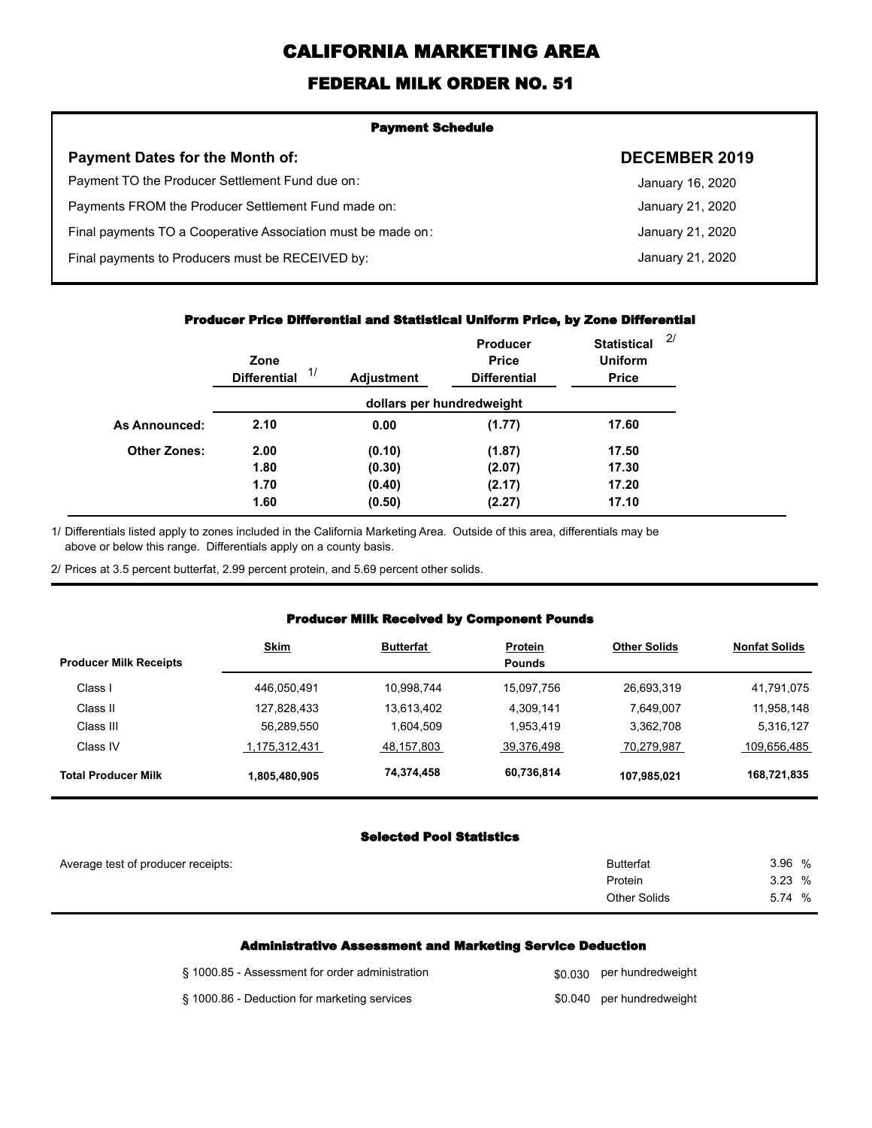# **CALIFORNIA MARKETING AREA**

## **FEDERAL MILK ORDER NO. 51**

| <b>Payment Schedule</b>                                      |                      |  |  |  |
|--------------------------------------------------------------|----------------------|--|--|--|
| <b>Payment Dates for the Month of:</b>                       | <b>DECEMBER 2019</b> |  |  |  |
| Payment TO the Producer Settlement Fund due on:              | January 16, 2020     |  |  |  |
| Payments FROM the Producer Settlement Fund made on:          | January 21, 2020     |  |  |  |
| Final payments TO a Cooperative Association must be made on: | January 21, 2020     |  |  |  |
| Final payments to Producers must be RECEIVED by:             | January 21, 2020     |  |  |  |
|                                                              |                      |  |  |  |

#### **Producer Price Differential and Statistical Uniform Price, by Zone Differential**

|                      | Zone<br>1/<br><b>Differential</b> | <b>Adjustment</b>         | <b>Producer</b><br><b>Price</b><br><b>Differential</b> | 2/<br><b>Statistical</b><br><b>Uniform</b><br><b>Price</b> |
|----------------------|-----------------------------------|---------------------------|--------------------------------------------------------|------------------------------------------------------------|
|                      |                                   | dollars per hundredweight |                                                        |                                                            |
| <b>As Announced:</b> | 2.10                              | 0.00                      | (1.77)                                                 | 17.60                                                      |
| <b>Other Zones:</b>  | 2.00                              | (0.10)                    | (1.87)                                                 | 17.50                                                      |
|                      | 1.80                              | (0.30)                    | (2.07)                                                 | 17.30                                                      |
|                      | 1.70                              | (0.40)                    | (2.17)                                                 | 17.20                                                      |
|                      | 1.60                              | (0.50)                    | (2.27)                                                 | 17.10                                                      |

#### **Producer Milk Received by Component Pounds**

|                               | <b>Skim</b>   | <b>Butterfat</b> | <b>Protein</b> | <b>Other Solids</b> | <b>Nonfat Solids</b> |
|-------------------------------|---------------|------------------|----------------|---------------------|----------------------|
| <b>Producer Milk Receipts</b> |               |                  | <b>Pounds</b>  |                     |                      |
| Class I                       | 446.050.491   | 10,998,744       | 15.097.756     | 26,693,319          | 41,791,075           |
| Class II                      | 127,828,433   | 13,613,402       | 4,309,141      | 7,649,007           | 11,958,148           |
| Class III                     | 56,289,550    | 1.604.509        | 1,953,419      | 3,362,708           | 5,316,127            |
| Class IV                      | 1,175,312,431 | 48,157,803       | 39,376,498     | 70,279,987          | 109,656,485          |
| <b>Total Producer Milk</b>    | 1,805,480,905 | 74,374,458       | 60,736,814     | 107,985,021         | 168,721,835          |

#### **Selected Pool Statistics**

|                                                 | <b>Selected Pool Statistics</b>                                  |                 |
|-------------------------------------------------|------------------------------------------------------------------|-----------------|
| Average test of producer receipts:              | <b>Butterfat</b>                                                 | 3.96%           |
|                                                 | Protein<br>Other Solids                                          | 3.23%<br>5.74 % |
|                                                 |                                                                  |                 |
|                                                 | <b>Administrative Assessment and Marketing Service Deduction</b> |                 |
| § 1000.85 - Assessment for order administration | \$0.030 per hundredweight                                        |                 |

#### **Administrative Assessment and Marketing Service Deduction**

| § 1000.85 - Assessment for order administration | \$0.030 per hundredweight |
|-------------------------------------------------|---------------------------|
| § 1000.86 - Deduction for marketing services    | \$0.040 per hundredweight |